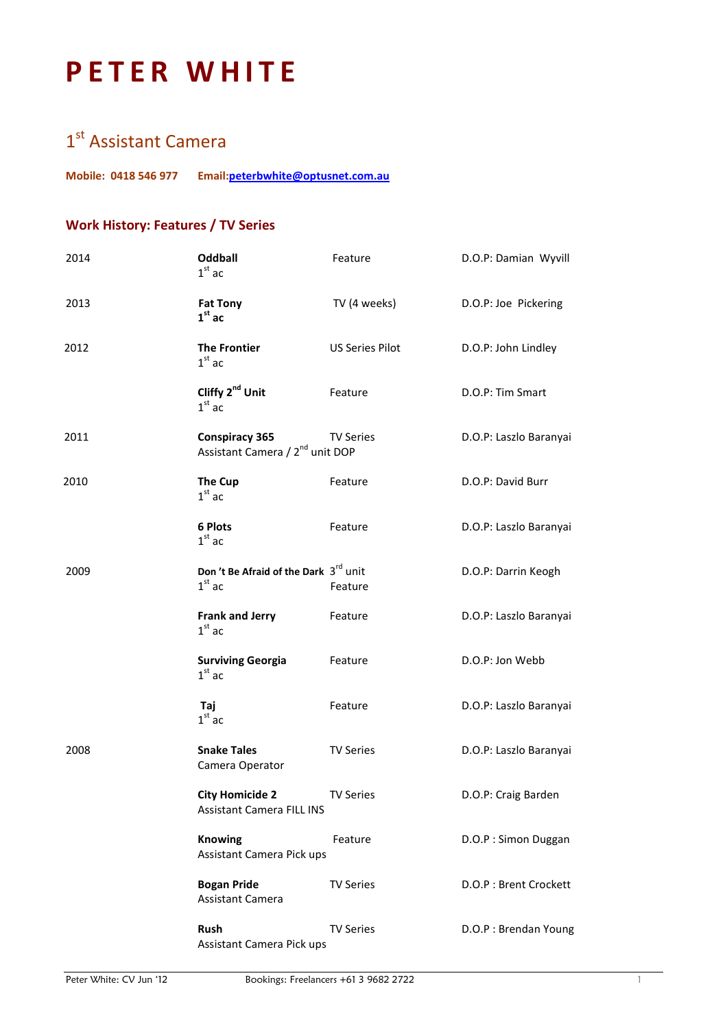# PETER WHITE

### 1<sup>st</sup> Assistant Camera

Mobile: 0418 546 977 Email:peterbwhite@optusnet.com.au

### Work History: Features / TV Series

| 2014 | <b>Oddball</b><br>$1st$ ac                                           | Feature                | D.O.P: Damian Wyvill   |
|------|----------------------------------------------------------------------|------------------------|------------------------|
| 2013 | <b>Fat Tony</b><br>$1st$ ac                                          | TV (4 weeks)           | D.O.P: Joe Pickering   |
| 2012 | <b>The Frontier</b><br>$1st$ ac                                      | <b>US Series Pilot</b> | D.O.P: John Lindley    |
|      | Cliffy 2 <sup>nd</sup> Unit<br>$1st$ ac                              | Feature                | D.O.P: Tim Smart       |
| 2011 | <b>Conspiracy 365</b><br>Assistant Camera / 2 <sup>nd</sup> unit DOP | <b>TV Series</b>       | D.O.P: Laszlo Baranyai |
| 2010 | The Cup<br>$1st$ ac                                                  | Feature                | D.O.P: David Burr      |
|      | 6 Plots<br>$1st$ ac                                                  | Feature                | D.O.P: Laszlo Baranyai |
| 2009 | Don't Be Afraid of the Dark 3rd unit<br>$1st$ ac                     | Feature                | D.O.P: Darrin Keogh    |
|      | <b>Frank and Jerry</b><br>$1st$ ac                                   | Feature                | D.O.P: Laszlo Baranyai |
|      | <b>Surviving Georgia</b><br>$1st$ ac                                 | Feature                | D.O.P: Jon Webb        |
|      | Taj<br>$1st$ ac                                                      | Feature                | D.O.P: Laszlo Baranyai |
| 2008 | <b>Snake Tales</b><br>Camera Operator                                | <b>TV Series</b>       | D.O.P: Laszlo Baranyai |
|      | <b>City Homicide 2</b><br><b>Assistant Camera FILL INS</b>           | <b>TV Series</b>       | D.O.P: Craig Barden    |
|      | <b>Knowing</b><br>Assistant Camera Pick ups                          | Feature                | D.O.P: Simon Duggan    |
|      | <b>Bogan Pride</b><br><b>Assistant Camera</b>                        | <b>TV Series</b>       | D.O.P: Brent Crockett  |
|      | Rush<br>Assistant Camera Pick ups                                    | <b>TV Series</b>       | D.O.P: Brendan Young   |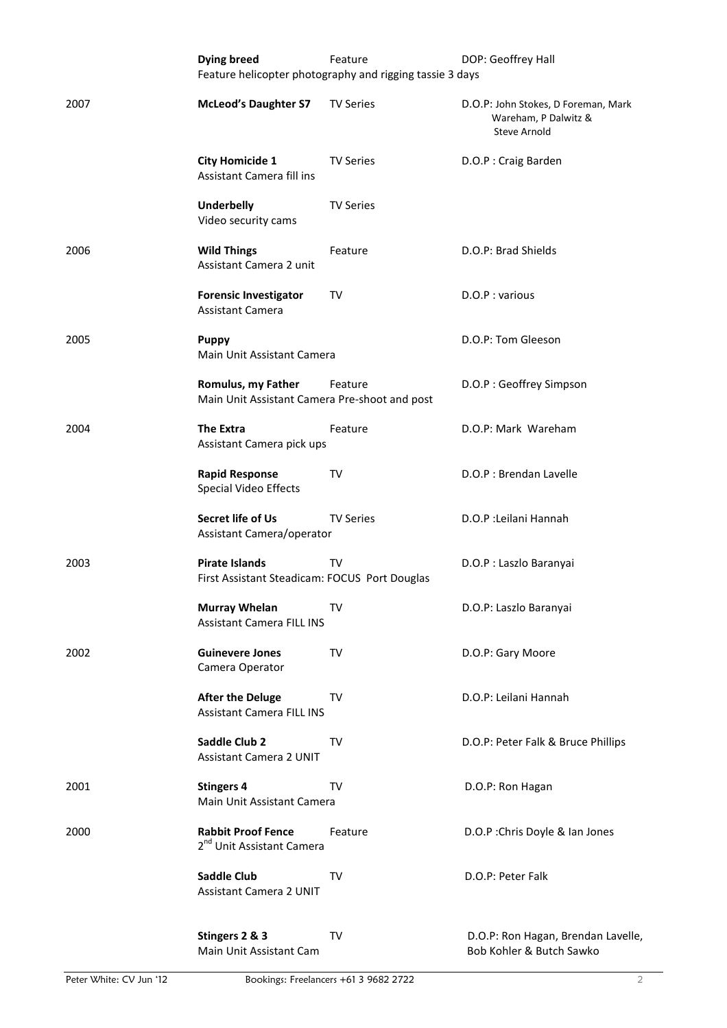|      | <b>Dying breed</b>                                                     | Feature<br>Feature helicopter photography and rigging tassie 3 days | DOP: Geoffrey Hall                                                                 |
|------|------------------------------------------------------------------------|---------------------------------------------------------------------|------------------------------------------------------------------------------------|
| 2007 | <b>McLeod's Daughter S7</b>                                            | <b>TV Series</b>                                                    | D.O.P: John Stokes, D Foreman, Mark<br>Wareham, P Dalwitz &<br><b>Steve Arnold</b> |
|      | <b>City Homicide 1</b><br>Assistant Camera fill ins                    | <b>TV Series</b>                                                    | D.O.P: Craig Barden                                                                |
|      | <b>Underbelly</b><br>Video security cams                               | <b>TV Series</b>                                                    |                                                                                    |
| 2006 | <b>Wild Things</b><br>Assistant Camera 2 unit                          | Feature                                                             | D.O.P: Brad Shields                                                                |
|      | <b>Forensic Investigator</b><br><b>Assistant Camera</b>                | TV                                                                  | D.O.P: various                                                                     |
| 2005 | <b>Puppy</b><br>Main Unit Assistant Camera                             |                                                                     | D.O.P: Tom Gleeson                                                                 |
|      | Romulus, my Father<br>Main Unit Assistant Camera Pre-shoot and post    | Feature                                                             | D.O.P: Geoffrey Simpson                                                            |
| 2004 | <b>The Extra</b><br>Assistant Camera pick ups                          | Feature                                                             | D.O.P: Mark Wareham                                                                |
|      | <b>Rapid Response</b><br>Special Video Effects                         | TV                                                                  | D.O.P : Brendan Lavelle                                                            |
|      | Secret life of Us<br>Assistant Camera/operator                         | <b>TV Series</b>                                                    | D.O.P : Leilani Hannah                                                             |
| 2003 | <b>Pirate Islands</b><br>First Assistant Steadicam: FOCUS Port Douglas | TV                                                                  | D.O.P : Laszlo Baranyai                                                            |
|      | <b>Murray Whelan</b><br><b>Assistant Camera FILL INS</b>               | TV                                                                  | D.O.P: Laszlo Baranyai                                                             |
| 2002 | <b>Guinevere Jones</b><br>Camera Operator                              | <b>TV</b>                                                           | D.O.P: Gary Moore                                                                  |
|      | <b>After the Deluge</b><br><b>Assistant Camera FILL INS</b>            | TV                                                                  | D.O.P: Leilani Hannah                                                              |
|      | Saddle Club 2<br><b>Assistant Camera 2 UNIT</b>                        | <b>TV</b>                                                           | D.O.P: Peter Falk & Bruce Phillips                                                 |
| 2001 | <b>Stingers 4</b><br>Main Unit Assistant Camera                        | TV                                                                  | D.O.P: Ron Hagan                                                                   |
| 2000 | <b>Rabbit Proof Fence</b><br>2 <sup>nd</sup> Unit Assistant Camera     | Feature                                                             | D.O.P : Chris Doyle & Ian Jones                                                    |
|      | <b>Saddle Club</b><br><b>Assistant Camera 2 UNIT</b>                   | <b>TV</b>                                                           | D.O.P: Peter Falk                                                                  |
|      | Stingers 2 & 3<br>Main Unit Assistant Cam                              | TV                                                                  | D.O.P: Ron Hagan, Brendan Lavelle,<br>Bob Kohler & Butch Sawko                     |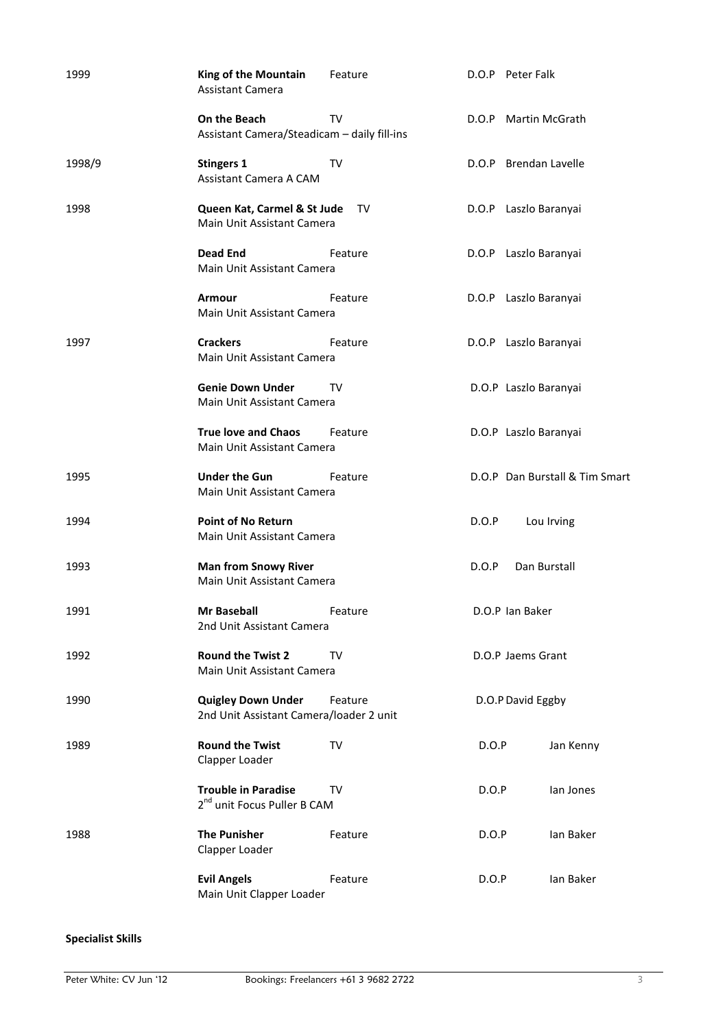| 1999   | King of the Mountain<br><b>Assistant Camera</b>                       | Feature |       | D.O.P Peter Falk               |
|--------|-----------------------------------------------------------------------|---------|-------|--------------------------------|
|        | On the Beach<br>Assistant Camera/Steadicam - daily fill-ins           | TV      |       | D.O.P Martin McGrath           |
| 1998/9 | <b>Stingers 1</b><br>Assistant Camera A CAM                           | TV      |       | D.O.P Brendan Lavelle          |
| 1998   | Queen Kat, Carmel & St Jude<br>Main Unit Assistant Camera             | TV      |       | D.O.P Laszlo Baranyai          |
|        | <b>Dead End</b><br>Main Unit Assistant Camera                         | Feature |       | D.O.P Laszlo Baranyai          |
|        | <b>Armour</b><br>Main Unit Assistant Camera                           | Feature |       | D.O.P Laszlo Baranyai          |
| 1997   | <b>Crackers</b><br>Main Unit Assistant Camera                         | Feature |       | D.O.P Laszlo Baranyai          |
|        | <b>Genie Down Under</b><br>Main Unit Assistant Camera                 | TV      |       | D.O.P Laszlo Baranyai          |
|        | <b>True love and Chaos</b><br>Main Unit Assistant Camera              | Feature |       | D.O.P Laszlo Baranyai          |
| 1995   | <b>Under the Gun</b><br>Main Unit Assistant Camera                    | Feature |       | D.O.P Dan Burstall & Tim Smart |
| 1994   | <b>Point of No Return</b><br>Main Unit Assistant Camera               |         | D.O.P | Lou Irving                     |
| 1993   | <b>Man from Snowy River</b><br>Main Unit Assistant Camera             |         | D.O.P | Dan Burstall                   |
| 1991   | Mr Baseball<br>2nd Unit Assistant Camera                              | Feature |       | D.O.P Ian Baker                |
| 1992   | <b>Round the Twist 2</b><br>Main Unit Assistant Camera                | TV      |       | D.O.P Jaems Grant              |
| 1990   | <b>Quigley Down Under</b><br>2nd Unit Assistant Camera/loader 2 unit  | Feature |       | D.O.P David Eggby              |
| 1989   | <b>Round the Twist</b><br>Clapper Loader                              | TV      | D.O.P | Jan Kenny                      |
|        | <b>Trouble in Paradise</b><br>2 <sup>nd</sup> unit Focus Puller B CAM | TV      | D.O.P | lan Jones                      |
| 1988   | <b>The Punisher</b><br>Clapper Loader                                 | Feature | D.O.P | Ian Baker                      |
|        | <b>Evil Angels</b><br>Main Unit Clapper Loader                        | Feature | D.O.P | Ian Baker                      |

#### Specialist Skills